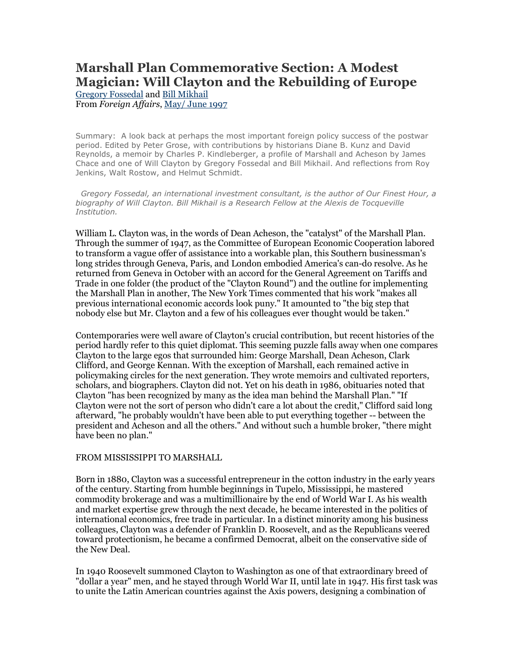## **Marshall Plan Commemorative Section: A Modest Magician: Will Clayton and the Rebuilding of Europe** Gregory Fossedal and Bill Mikhail

From *Foreign Affairs*, May/ June 1997

Summary: A look back at perhaps the most important foreign policy success of the postwar period. Edited by Peter Grose, with contributions by historians Diane B. Kunz and David Reynolds, a memoir by Charles P. Kindleberger, a profile of Marshall and Acheson by James Chace and one of Will Clayton by Gregory Fossedal and Bill Mikhail. And reflections from Roy Jenkins, Walt Rostow, and Helmut Schmidt.

 *Gregory Fossedal, an international investment consultant, is the author of Our Finest Hour, a*  biography of Will Clayton. Bill Mikhail is a Research Fellow at the Alexis de Tocqueville *Institution.*

William L. Clayton was, in the words of Dean Acheson, the "catalyst" of the Marshall Plan. Through the summer of 1947, as the Committee of European Economic Cooperation labored to transform a vague offer of assistance into a workable plan, this Southern businessman's long strides through Geneva, Paris, and London embodied America's can-do resolve. As he returned from Geneva in October with an accord for the General Agreement on Tariffs and Trade in one folder (the product of the "Clayton Round") and the outline for implementing the Marshall Plan in another, The New York Times commented that his work "makes all previous international economic accords look puny." It amounted to "the big step that nobody else but Mr. Clayton and a few of his colleagues ever thought would be taken."

Contemporaries were well aware of Clayton's crucial contribution, but recent histories of the period hardly refer to this quiet diplomat. This seeming puzzle falls away when one compares Clayton to the large egos that surrounded him: George Marshall, Dean Acheson, Clark Clifford, and George Kennan. With the exception of Marshall, each remained active in policymaking circles for the next generation. They wrote memoirs and cultivated reporters, scholars, and biographers. Clayton did not. Yet on his death in 1986, obituaries noted that Clayton "has been recognized by many as the idea man behind the Marshall Plan." "If Clayton were not the sort of person who didn't care a lot about the credit," Clifford said long afterward, "he probably wouldn't have been able to put everything together -- between the president and Acheson and all the others." And without such a humble broker, "there might have been no plan."

## FROM MISSISSIPPI TO MARSHALL

Born in 1880, Clayton was a successful entrepreneur in the cotton industry in the early years of the century. Starting from humble beginnings in Tupelo, Mississippi, he mastered commodity brokerage and was a multimillionaire by the end of World War I. As his wealth and market expertise grew through the next decade, he became interested in the politics of international economics, free trade in particular. In a distinct minority among his business colleagues, Clayton was a defender of Franklin D. Roosevelt, and as the Republicans veered toward protectionism, he became a confirmed Democrat, albeit on the conservative side of the New Deal.

In 1940 Roosevelt summoned Clayton to Washington as one of that extraordinary breed of "dollar a year" men, and he stayed through World War II, until late in 1947. His first task was to unite the Latin American countries against the Axis powers, designing a combination of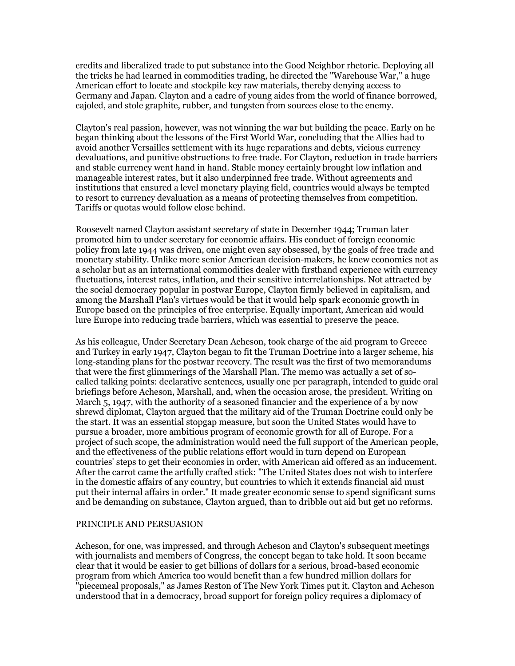credits and liberalized trade to put substance into the Good Neighbor rhetoric. Deploying all the tricks he had learned in commodities trading, he directed the "Warehouse War," a huge American effort to locate and stockpile key raw materials, thereby denying access to Germany and Japan. Clayton and a cadre of young aides from the world of finance borrowed, cajoled, and stole graphite, rubber, and tungsten from sources close to the enemy.

Clayton's real passion, however, was not winning the war but building the peace. Early on he began thinking about the lessons of the First World War, concluding that the Allies had to avoid another Versailles settlement with its huge reparations and debts, vicious currency devaluations, and punitive obstructions to free trade. For Clayton, reduction in trade barriers and stable currency went hand in hand. Stable money certainly brought low inflation and manageable interest rates, but it also underpinned free trade. Without agreements and institutions that ensured a level monetary playing field, countries would always be tempted to resort to currency devaluation as a means of protecting themselves from competition. Tariffs or quotas would follow close behind.

Roosevelt named Clayton assistant secretary of state in December 1944; Truman later promoted him to under secretary for economic affairs. His conduct of foreign economic policy from late 1944 was driven, one might even say obsessed, by the goals of free trade and monetary stability. Unlike more senior American decision-makers, he knew economics not as a scholar but as an international commodities dealer with firsthand experience with currency fluctuations, interest rates, inflation, and their sensitive interrelationships. Not attracted by the social democracy popular in postwar Europe, Clayton firmly believed in capitalism, and among the Marshall Plan's virtues would be that it would help spark economic growth in Europe based on the principles of free enterprise. Equally important, American aid would lure Europe into reducing trade barriers, which was essential to preserve the peace.

As his colleague, Under Secretary Dean Acheson, took charge of the aid program to Greece and Turkey in early 1947, Clayton began to fit the Truman Doctrine into a larger scheme, his long-standing plans for the postwar recovery. The result was the first of two memorandums that were the first glimmerings of the Marshall Plan. The memo was actually a set of socalled talking points: declarative sentences, usually one per paragraph, intended to guide oral briefings before Acheson, Marshall, and, when the occasion arose, the president. Writing on March 5, 1947, with the authority of a seasoned financier and the experience of a by now shrewd diplomat, Clayton argued that the military aid of the Truman Doctrine could only be the start. It was an essential stopgap measure, but soon the United States would have to pursue a broader, more ambitious program of economic growth for all of Europe. For a project of such scope, the administration would need the full support of the American people, and the effectiveness of the public relations effort would in turn depend on European countries' steps to get their economies in order, with American aid offered as an inducement. After the carrot came the artfully crafted stick: "The United States does not wish to interfere in the domestic affairs of any country, but countries to which it extends financial aid must put their internal affairs in order." It made greater economic sense to spend significant sums and be demanding on substance, Clayton argued, than to dribble out aid but get no reforms.

## PRINCIPLE AND PERSUASION

Acheson, for one, was impressed, and through Acheson and Clayton's subsequent meetings with journalists and members of Congress, the concept began to take hold. It soon became clear that it would be easier to get billions of dollars for a serious, broad-based economic program from which America too would benefit than a few hundred million dollars for "piecemeal proposals," as James Reston of The New York Times put it. Clayton and Acheson understood that in a democracy, broad support for foreign policy requires a diplomacy of